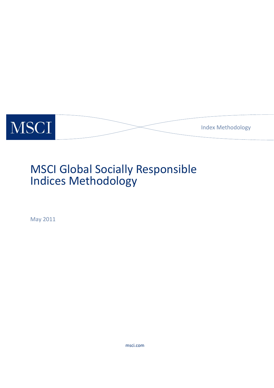

# MSCI Global Socially Responsible Indices Methodology

May 2011

msci.com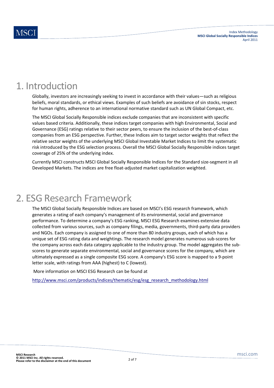### 1. Introduction

Globally, investors are increasingly seeking to invest in accordance with their values—such as religious beliefs, moral standards, or ethical views. Examples of such beliefs are avoidance of sin stocks, respect for human rights, adherence to an international normative standard such as UN Global Compact, etc.

The MSCI Global Socially Responsible indices exclude companies that are inconsistent with specific values based criteria. Additionally, these indices target companies with high Environmental, Social and Governance (ESG) ratings relative to their sector peers, to ensure the inclusion of the best‐of‐class companies from an ESG perspective. Further, these Indices aim to target sector weights that reflect the relative sector weights of the underlying MSCI Global Investable Market Indices to limit the systematic risk introduced by the ESG selection process. Overall the MSCI Global Socially Responsible indices target coverage of 25% of the underlying index.

Currently MSCI constructs MSCI Global Socially Responsible Indices for the Standard size‐segment in all Developed Markets. The indices are free float‐adjusted market capitalization weighted.

### 2. ESG Research Framework

The MSCI Global Socially Responsible Indices are based on MSCI's ESG research framework, which generates a rating of each company's management of its environmental, social and governance performance. To determine a company's ESG ranking, MSCI ESG Research examines extensive data collected from various sources, such as company filings, media, governments, third-party data providers and NGOs. Each company is assigned to one of more than 80 industry groups, each of which has a unique set of ESG rating data and weightings. The research model generates numerous sub‐scores for the company across each data category applicable to the industry group. The model aggregates the subscores to generate separate environmental, social and governance scores for the company, which are ultimately expressed as a single composite ESG score. A company's ESG score is mapped to a 9‐point letter scale, with ratings from AAA (highest) to C (lowest).

More information on MSCI ESG Research can be found at

http://www.msci.com/products/indices/thematic/esg/esg\_research\_methodology.html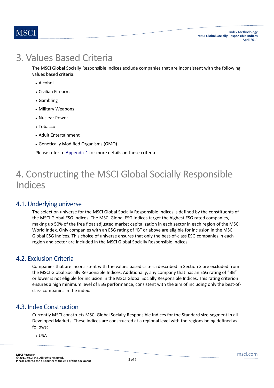### 3. Values Based Criteria

The MSCI Global Socially Responsible Indices exclude companies that are inconsistent with the following values based criteria:

- Alcohol
- Civilian Firearms
- Gambling
- Military Weapons
- Nuclear Power
- Tobacco
- Adult Entertainment
- Genetically Modified Organisms (GMO)

Please refer to Appendix 1 for more details on these criteria

### 4. Constructing the MSCI Global Socially Responsible Indices

#### 4.1. Underlying universe

The selection universe for the MSCI Global Socially Responsible Indices is defined by the constituents of the MSCI Global ESG Indices. The MSCI Global ESG Indices target the highest ESG rated companies, making up 50% of the free float adjusted market capitalization in each sector in each region of the MSCI World Index. Only companies with an ESG rating of "B" or above are eligible for inclusion in the MSCI Global ESG Indices. This choice of universe ensures that only the best-of-class ESG companies in each region and sector are included in the MSCI Global Socially Responsible Indices.

#### 4.2. Exclusion Criteria

Companies that are inconsistent with the values based criteria described in Section 3 are excluded from the MSCI Global Socially Responsible Indices. Additionally, any company that has an ESG rating of "BB" or lower is not eligible for inclusion in the MSCI Global Socially Responsible Indices. This rating criterion ensures a high minimum level of ESG performance, consistent with the aim of including only the best-ofclass companies in the index.

#### 4.3. Index Construction

Currently MSCI constructs MSCI Global Socially Responsible Indices for the Standard size‐segment in all Developed Markets. These indices are constructed at a regional level with the regions being defined as follows:

USA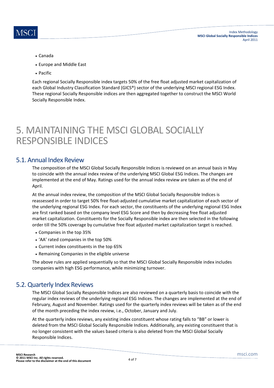

- Canada
- Europe and Middle East
- Pacific

Each regional Socially Responsible index targets 50% of the free float adjusted market capitalization of each Global Industry Classification Standard (GICS®) sector of the underlying MSCI regional ESG Index. These regional Socially Responsible indices are then aggregated together to construct the MSCI World Socially Responsible Index.

### 5. MAINTAINING THE MSCI GLOBAL SOCIALLY RESPONSIBLE INDICES

#### 5.1. Annual Index Review

The composition of the MSCI Global Socially Responsible Indices is reviewed on an annual basis in May to coincide with the annual index review of the underlying MSCI Global ESG Indices. The changes are implemented at the end of May. Ratings used for the annual index review are taken as of the end of April.

At the annual index review, the composition of the MSCI Global Socially Responsible Indices is reassessed in order to target 50% free float‐adjusted cumulative market capitalization of each sector of the underlying regional ESG Index. For each sector, the constituents of the underlying regional ESG Index are first ranked based on the company level ESG Score and then by decreasing free float adjusted market capitalization. Constituents for the Socially Responsible index are then selected in the following order till the 50% coverage by cumulative free float adjusted market capitalization target is reached.

- Companies in the top 35%
- 'AA' rated companies in the top 50%
- Current index constituents in the top 65%
- Remaining Companies in the eligible universe

The above rules are applied sequentially so that the MSCI Global Socially Responsible index includes companies with high ESG performance, while minimizing turnover.

#### 5.2.Quarterly Index Reviews

The MSCI Global Socially Responsible Indices are also reviewed on a quarterly basis to coincide with the regular index reviews of the underlying regional ESG Indices. The changes are implemented at the end of February, August and November. Ratings used for the quarterly index reviews will be taken as of the end of the month preceding the index review, i.e., October, January and July.

At the quarterly index reviews, any existing index constituent whose rating falls to "BB" or lower is deleted from the MSCI Global Socially Responsible Indices. Additionally, any existing constituent that is no longer consistent with the values based criteria is also deleted from the MSCI Global Socially Responsible Indices.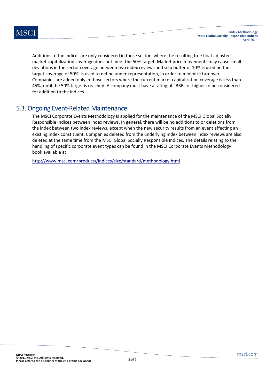Additions to the indices are only considered in those sectors where the resulting free float adjusted market capitalization coverage does not meet the 50% target. Market price movements may cause small deviations in the sector coverage between two index reviews and so a buffer of 10% is used on the target coverage of 50% is used to define under‐representation, in order to minimize turnover. Companies are added only in those sectors where the current market capitalization coverage is less than 45%, until the 50% target is reached. A company must have a rating of "BBB" or higher to be considered for addition to the indices.

#### 5.3.Ongoing Event‐Related Maintenance

The MSCI Corporate Events Methodology is applied for the maintenance of the MSCI Global Socially Responsible Indices between index reviews. In general, there will be no additions to or deletions from the index between two index reviews, except when the new security results from an event affecting an existing index constituent. Companies deleted from the underlying index between index reviews are also deleted at the same time from the MSCI Global Socially Responsible Indices. The details relating to the handling of specific corporate event types can be found in the MSCI Corporate Events Methodology book available at:

http://www.msci.com/products/indices/size/standard/methodology.html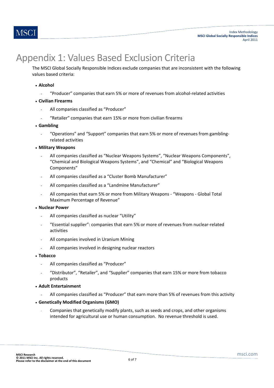

## Appendix 1: Values Based Exclusion Criteria

The MSCI Global Socially Responsible Indices exclude companies that are inconsistent with the following values based criteria:

- **Alcohol**
	- "Producer" companies that earn 5% or more of revenues from alcohol‐related activities
- **Civilian Firearms**
	- All companies classified as "Producer"
	- "Retailer" companies that earn 15% or more from civilian firearms
- **Gambling**
	- "Operations" and "Support" companies that earn 5% or more of revenues from gamblingrelated activities
- **Military Weapons**
	- All companies classified as "Nuclear Weapons Systems", "Nuclear Weapons Components", "Chemical and Biological Weapons Systems", and "Chemical" and "Biological Weapons Components"
	- All companies classified as a "Cluster Bomb Manufacturer"
	- All companies classified as a "Landmine Manufacturer"
	- All companies that earn 5% or more from Military Weapons ‐ "Weapons ‐ Global Total Maximum Percentage of Revenue"
- **Nuclear Power**
	- All companies classified as nuclear "Utility"
	- "Essential supplier": companies that earn 5% or more of revenues from nuclear‐related activities
	- All companies involved in Uranium Mining
	- All companies involved in designing nuclear reactors
- **Tobacco**
	- All companies classified as "Producer"
	- "Distributor", "Retailer", and "Supplier" companies that earn 15% or more from tobacco products
- **Adult Entertainment**
	- All companies classified as "Producer" that earn more than 5% of revenues from this activity
- **Genetically Modified Organisms (GMO)**
	- Companies that genetically modify plants, such as seeds and crops, and other organisms intended for agricultural use or human consumption. No revenue threshold is used.